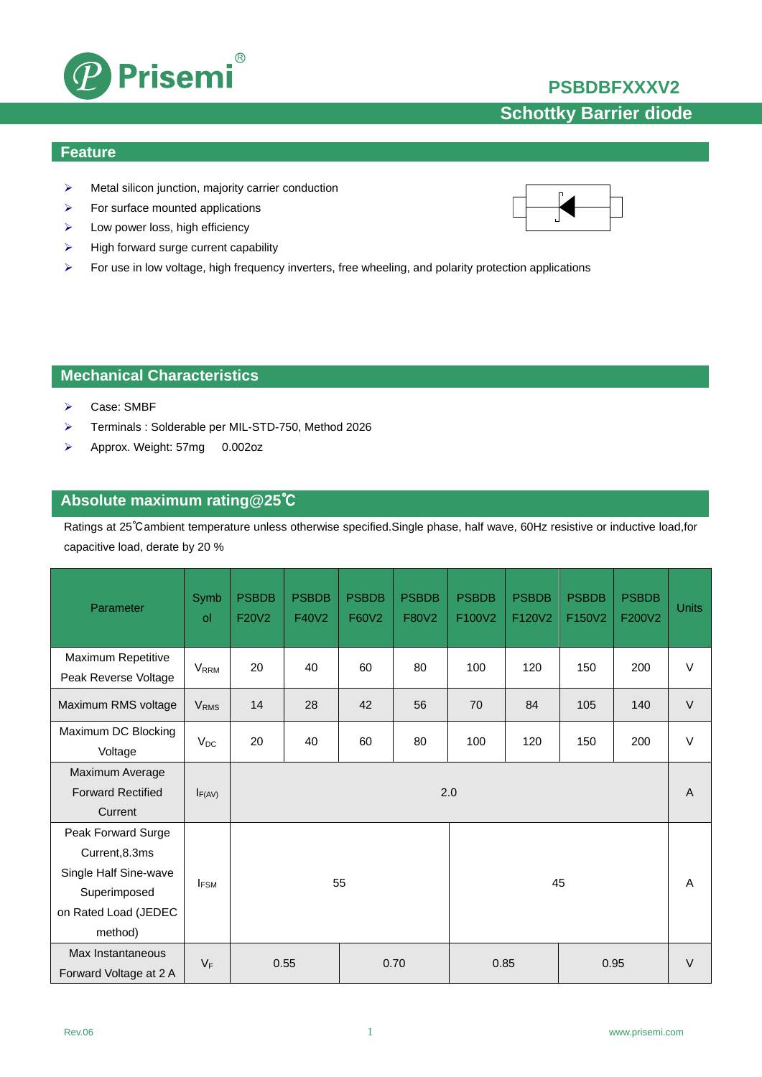## **PSBDBFXXXV2**



### **Feature**

Metal silicon junction, majority carrier conduction

 $^{\circledR}$ 

- $\triangleright$  For surface mounted applications
- $\triangleright$  Low power loss, high efficiency
- $\triangleright$  High forward surge current capability

Prisemi

 $\triangleright$  For use in low voltage, high frequency inverters, free wheeling, and polarity protection applications

## **Mechanical Characteristics**

- Case: SMBF
- Terminals : Solderable per MIL-STD-750, Method 2026
- Approx. Weight: 57mg 0.002oz

## **Absolute maximum rating@25**℃

Ratings at 25℃ambient temperature unless otherwise specified.Single phase, half wave, 60Hz resistive or inductive load,for capacitive load, derate by 20 %

| Parameter                                                                                                        | Symb<br>ol              | <b>PSBDB</b><br>F20V2 | <b>PSBDB</b><br>F40V2 | <b>PSBDB</b><br>F60V2 | <b>PSBDB</b><br>F80V2 | <b>PSBDB</b><br>F100V2 | <b>PSBDB</b><br>F120V2 | <b>PSBDB</b><br>F150V2 | <b>PSBDB</b><br>F200V2 | <b>Units</b> |
|------------------------------------------------------------------------------------------------------------------|-------------------------|-----------------------|-----------------------|-----------------------|-----------------------|------------------------|------------------------|------------------------|------------------------|--------------|
| Maximum Repetitive<br>Peak Reverse Voltage                                                                       | <b>V</b> <sub>RRM</sub> | 20                    | 40                    | 60                    | 80                    | 100                    | 120                    | 150                    | 200                    | V            |
| Maximum RMS voltage                                                                                              | <b>V<sub>RMS</sub></b>  | 14                    | 28                    | 42                    | 56                    | 70                     | 84                     | 105                    | 140                    | $\vee$       |
| Maximum DC Blocking<br>Voltage                                                                                   | $V_{DC}$                | 20                    | 40                    | 60                    | 80                    | 100                    | 120                    | 150                    | 200                    | V            |
| Maximum Average<br><b>Forward Rectified</b><br>Current                                                           | $I_{F(AV)}$             | 2.0                   |                       |                       |                       |                        |                        |                        | A                      |              |
| Peak Forward Surge<br>Current, 8.3ms<br>Single Half Sine-wave<br>Superimposed<br>on Rated Load (JEDEC<br>method) | $I_{FSM}$               | 55<br>45              |                       |                       |                       |                        |                        |                        | A                      |              |
| Max Instantaneous<br>Forward Voltage at 2 A                                                                      | $V_F$                   | 0.55<br>0.70          |                       |                       |                       | 0.85<br>0.95           |                        |                        | $\vee$                 |              |

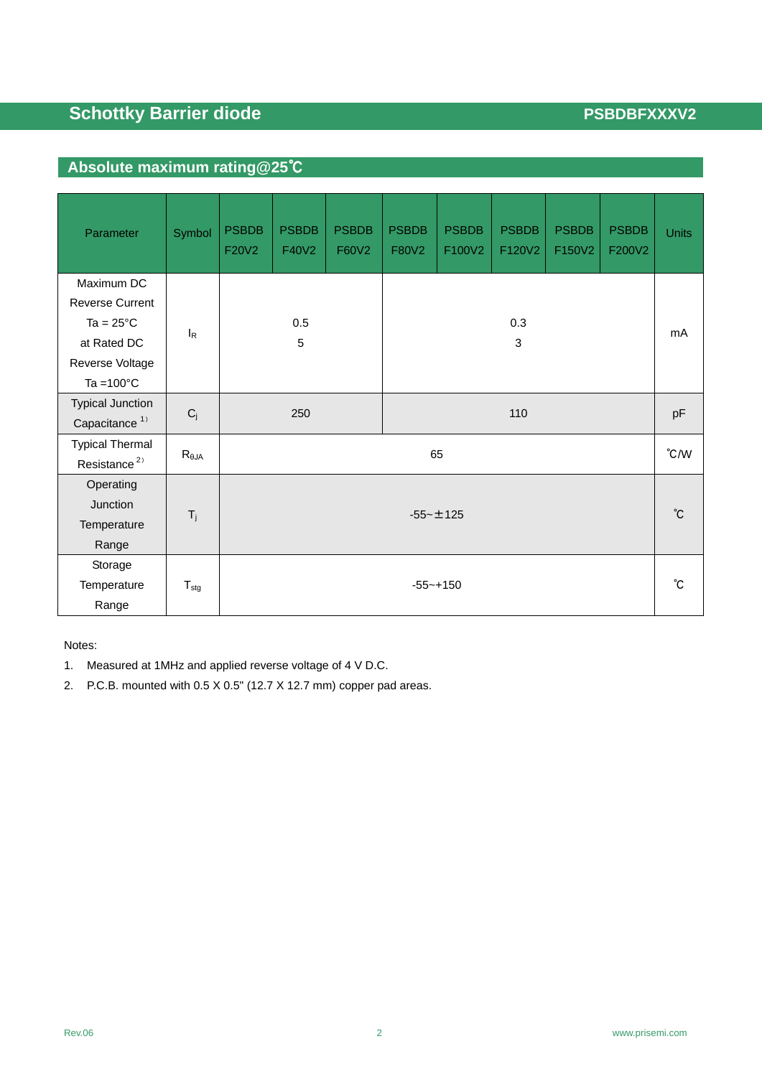# **Absolute maximum rating@25**℃

| Parameter                                                                                                             | Symbol           | <b>PSBDB</b><br>F20V2 | <b>PSBDB</b><br>F40V2 | <b>PSBDB</b><br>F60V2 | <b>PSBDB</b><br>F80V2 | <b>PSBDB</b><br>F100V2 | <b>PSBDB</b><br>F120V2 | <b>PSBDB</b><br>F150V2 | <b>PSBDB</b><br>F200V2 | <b>Units</b> |
|-----------------------------------------------------------------------------------------------------------------------|------------------|-----------------------|-----------------------|-----------------------|-----------------------|------------------------|------------------------|------------------------|------------------------|--------------|
| Maximum DC<br><b>Reverse Current</b><br>Ta = $25^{\circ}$ C<br>at Rated DC<br>Reverse Voltage<br>Ta = $100^{\circ}$ C | $I_R$            | 0.5<br>5              |                       |                       | 0.3<br>3              |                        |                        |                        |                        | mA           |
| <b>Typical Junction</b><br>Capacitance <sup>1)</sup>                                                                  | $C_j$            | 250                   |                       |                       | 110                   |                        |                        |                        |                        | pF           |
| <b>Typical Thermal</b><br>Resistance <sup>2)</sup>                                                                    | $R_{\theta JA}$  | 65                    |                       |                       |                       |                        |                        | $\degree$ C/W          |                        |              |
| Operating<br>Junction<br>Temperature<br>Range                                                                         | $T_j$            | $-55 - \pm 125$       |                       |                       |                       |                        |                        | $^{\circ}$ C           |                        |              |
| Storage<br>Temperature<br>Range                                                                                       | $T_{\text{stg}}$ | $-55 - +150$          |                       |                       |                       |                        | °C                     |                        |                        |              |

Notes:

- 1. Measured at 1MHz and applied reverse voltage of 4 V D.C.
- 2. P.C.B. mounted with 0.5 X 0.5" (12.7 X 12.7 mm) copper pad areas.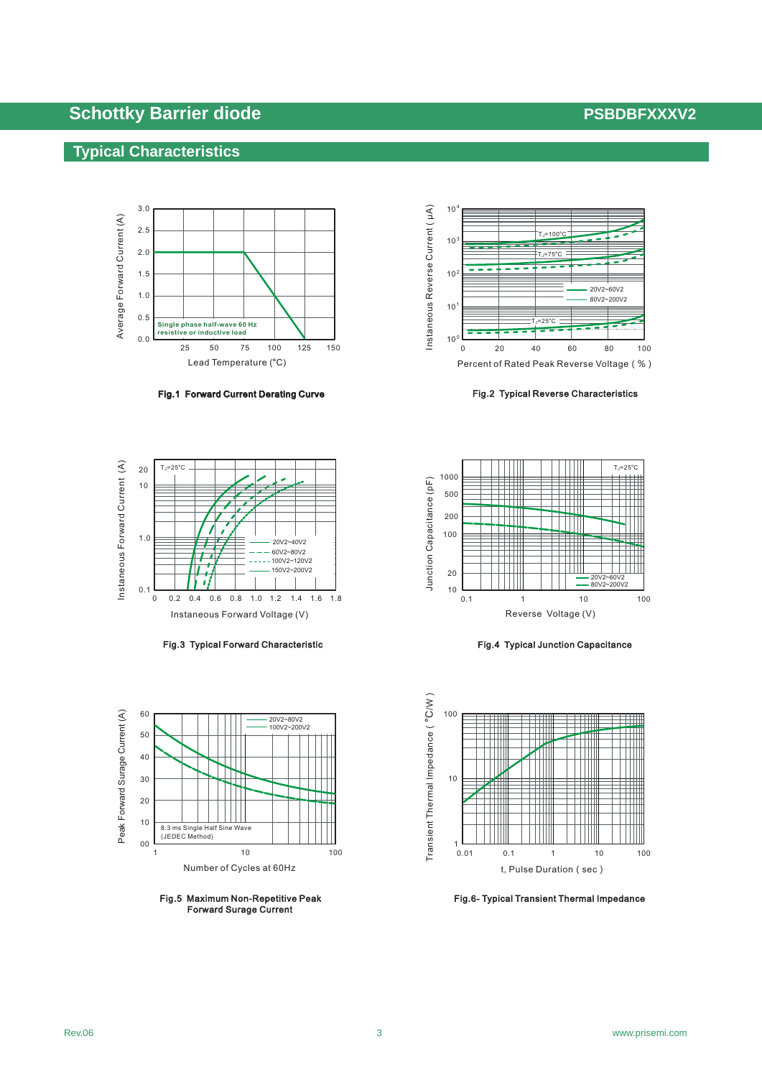## **Typical Characteristics**



Fig.1 Forward Current Derating Curve Forward Current Curve



Fig.3 Typical Forward Characteristic



Fig.5 Maximum Non-Repetitive Peak Forward Surage Current



Fig.2 Typical Reverse Characteristics



Fig.4 Typical Junction Capacitance



Fig.6- Typical Transient Thermal Impedance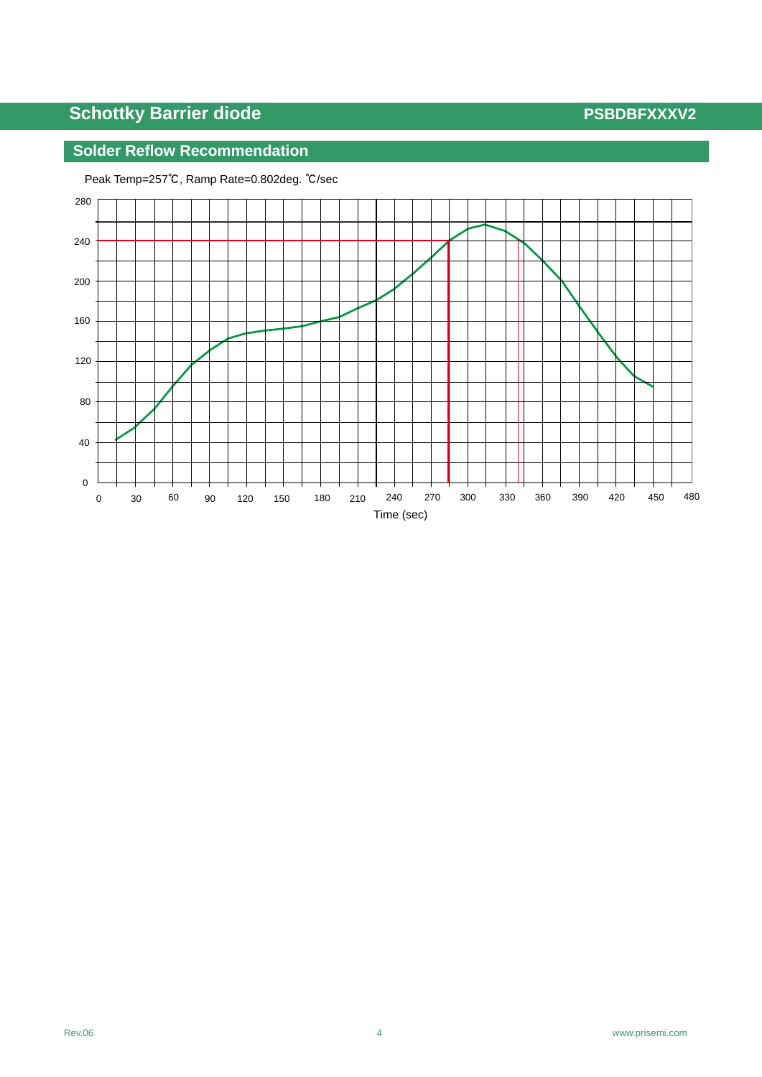## **Solder Reflow Recommendation**



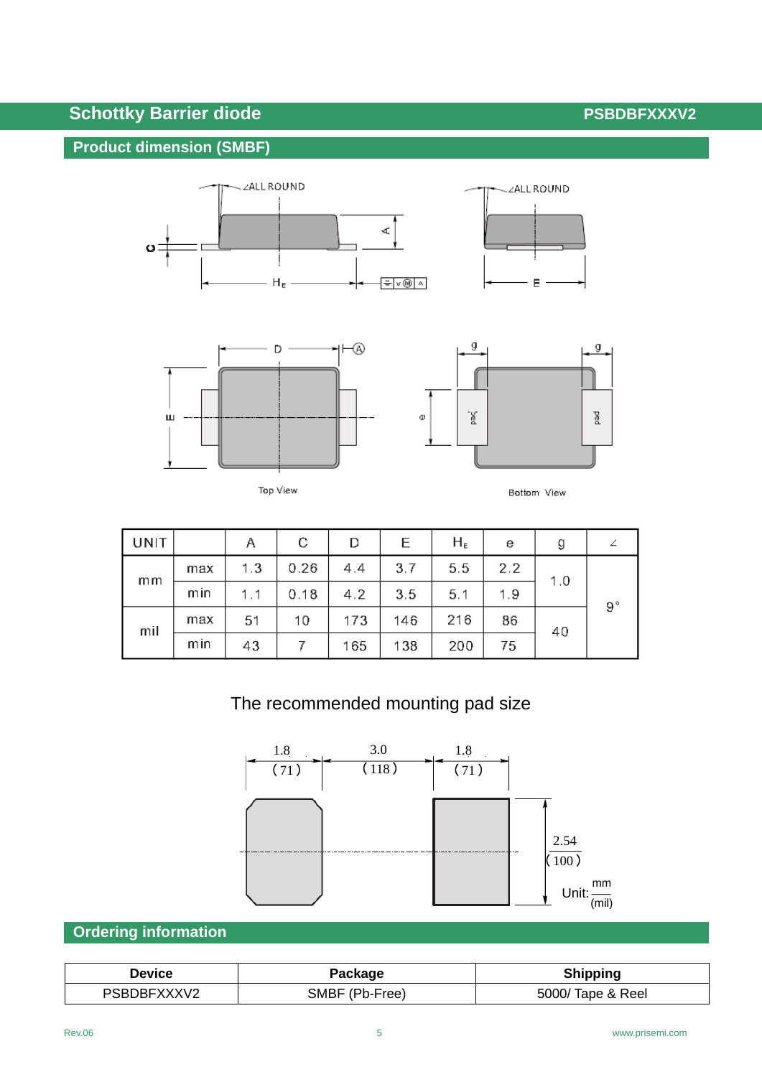## **Product dimension (SMBF)**







Top View



| UNIT |     | Α   | С    | D   | Е   | $H_{E}$ | е   | g   |             |
|------|-----|-----|------|-----|-----|---------|-----|-----|-------------|
|      | max | 1.3 | 0.26 | 4.4 | 3.7 | 5.5     | 2.2 | 1.0 |             |
| mm   | min | 1.1 | 0.18 | 4.2 | 3.5 | 5.1     | 1.9 |     | $9^{\circ}$ |
| mil  | max | 51  | 10   | 173 | 146 | 216     | 86  | 40  |             |
|      | mın | 43  |      | 165 | 138 | 200     | 75  |     |             |

# The recommended mounting pad size



## **Ordering information**

| Jevice      | Package        | Shipping          |  |  |  |  |
|-------------|----------------|-------------------|--|--|--|--|
| PSBDBFXXXV2 | SMBF (Pb-Free) | 5000/ Tape & Reel |  |  |  |  |